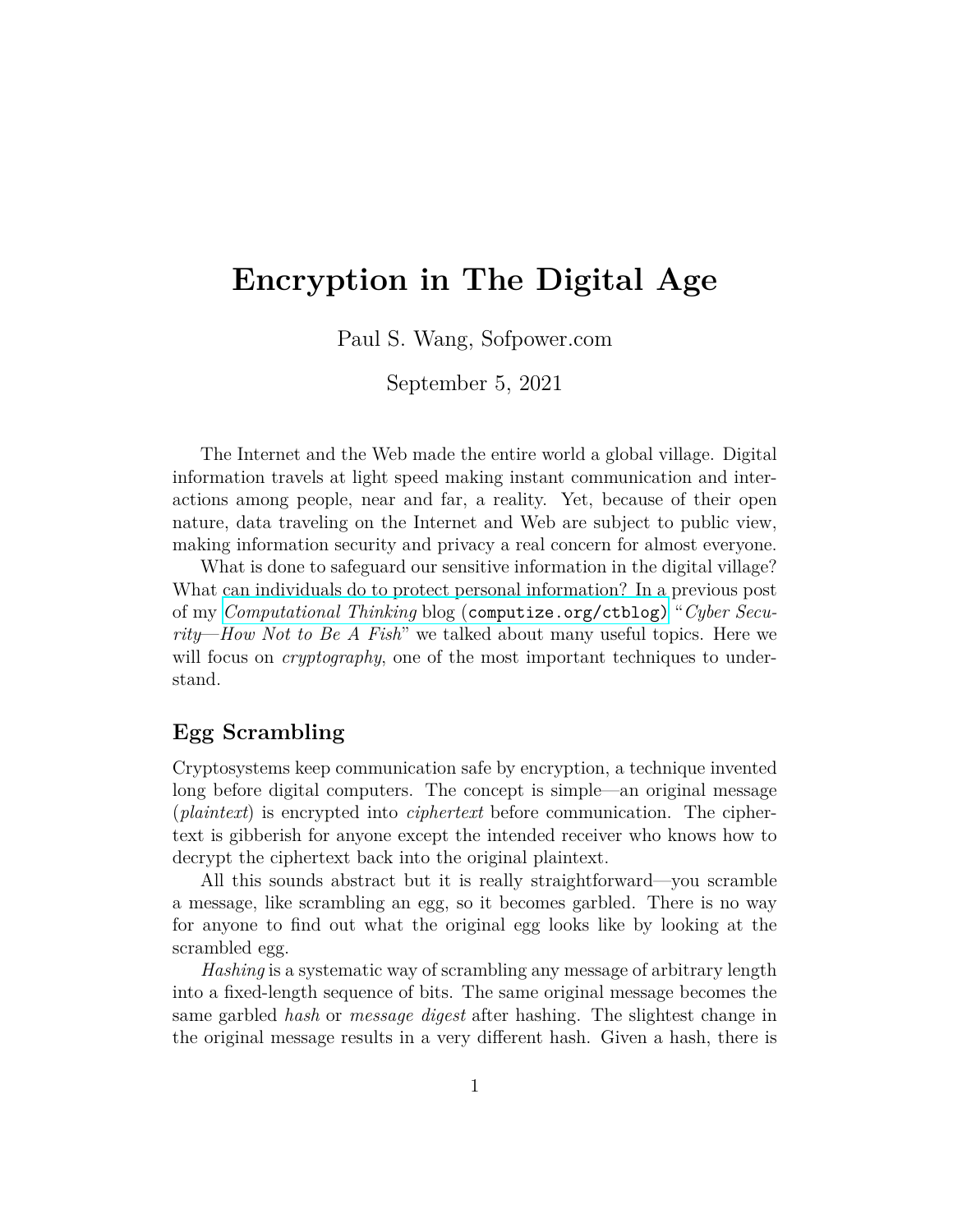# **Encryption in The Digital Age**

Paul S. Wang, Sofpower.com

September 5, 2021

The Internet and the Web made the entire world a global village. Digital information travels at light speed making instant communication and interactions among people, near and far, a reality. Yet, because of their open nature, data traveling on the Internet and Web are subject to public view, making information security and privacy a real concern for almost everyone.

What is done to safeguard our sensitive information in the digital village? What can individuals do to protect personal information? In a previous post of my *Computational Thinking* blog ([computize.org/ctblog\)](https://computize.org/ctblog) "*Cyber Security*—*How Not to Be A Fish*" we talked about many useful topics. Here we will focus on *cryptography*, one of the most important techniques to understand.

## **Egg Scrambling**

Cryptosystems keep communication safe by encryption, a technique invented long before digital computers. The concept is simple—an original message (*plaintext*) is encrypted into *ciphertext* before communication. The ciphertext is gibberish for anyone except the intended receiver who knows how to decrypt the ciphertext back into the original plaintext.

All this sounds abstract but it is really straightforward—you scramble a message, like scrambling an egg, so it becomes garbled. There is no way for anyone to find out what the original egg looks like by looking at the scrambled egg.

*Hashing* is a systematic way of scrambling any message of arbitrary length into a fixed-length sequence of bits. The same original message becomes the same garbled *hash* or *message digest* after hashing. The slightest change in the original message results in a very different hash. Given a hash, there is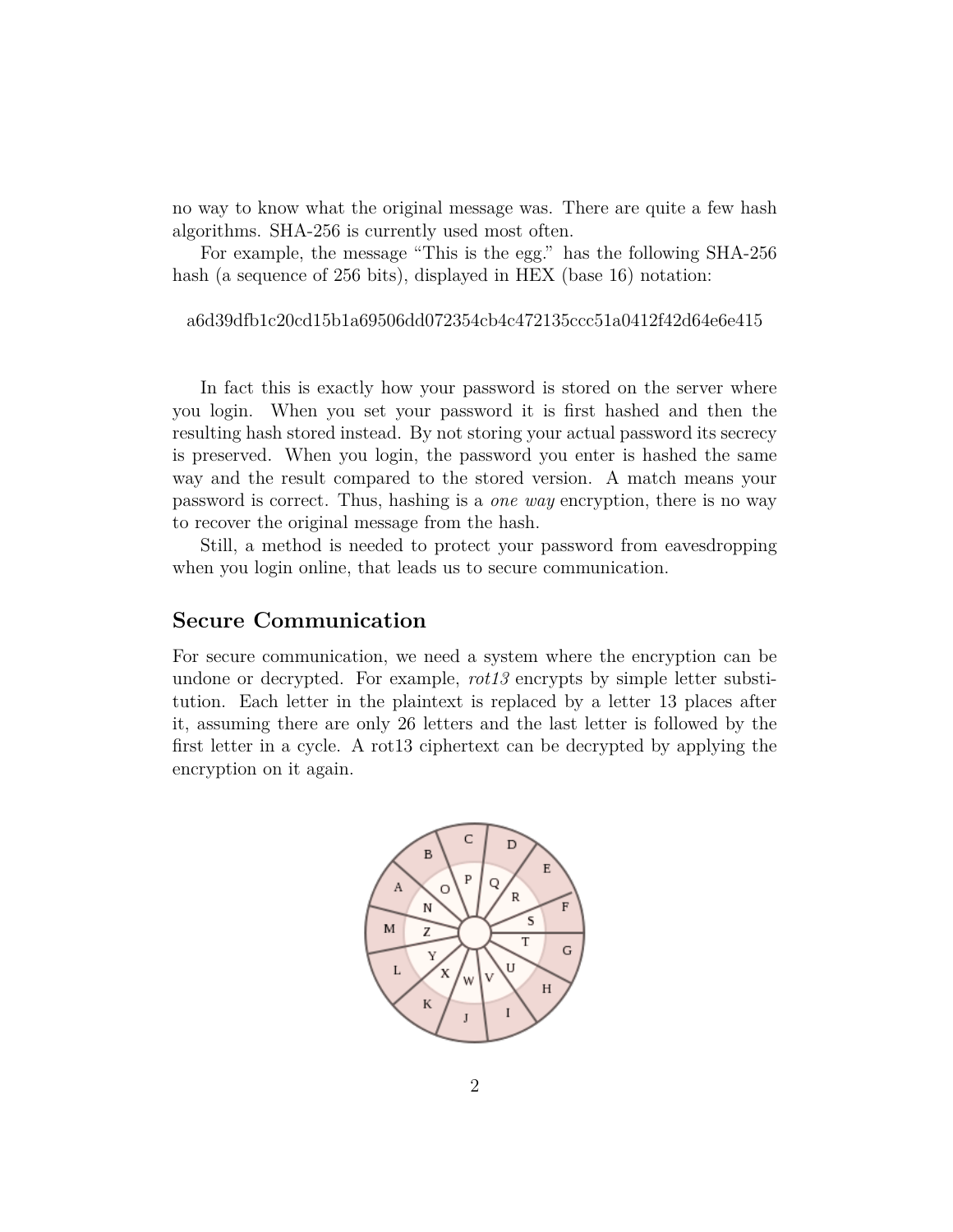no way to know what the original message was. There are quite a few hash algorithms. SHA-256 is currently used most often.

For example, the message "This is the egg." has the following SHA-256 hash (a sequence of 256 bits), displayed in HEX (base 16) notation:

```
a6d39dfb1c20cd15b1a69506dd072354cb4c472135ccc51a0412f42d64e6e415
```
In fact this is exactly how your password is stored on the server where you login. When you set your password it is first hashed and then the resulting hash stored instead. By not storing your actual password its secrecy is preserved. When you login, the password you enter is hashed the same way and the result compared to the stored version. A match means your password is correct. Thus, hashing is a *one way* encryption, there is no way to recover the original message from the hash.

Still, a method is needed to protect your password from eavesdropping when you login online, that leads us to secure communication.

#### **Secure Communication**

For secure communication, we need a system where the encryption can be undone or decrypted. For example, *rot13* encrypts by simple letter substitution. Each letter in the plaintext is replaced by a letter 13 places after it, assuming there are only 26 letters and the last letter is followed by the first letter in a cycle. A rot13 ciphertext can be decrypted by applying the encryption on it again.

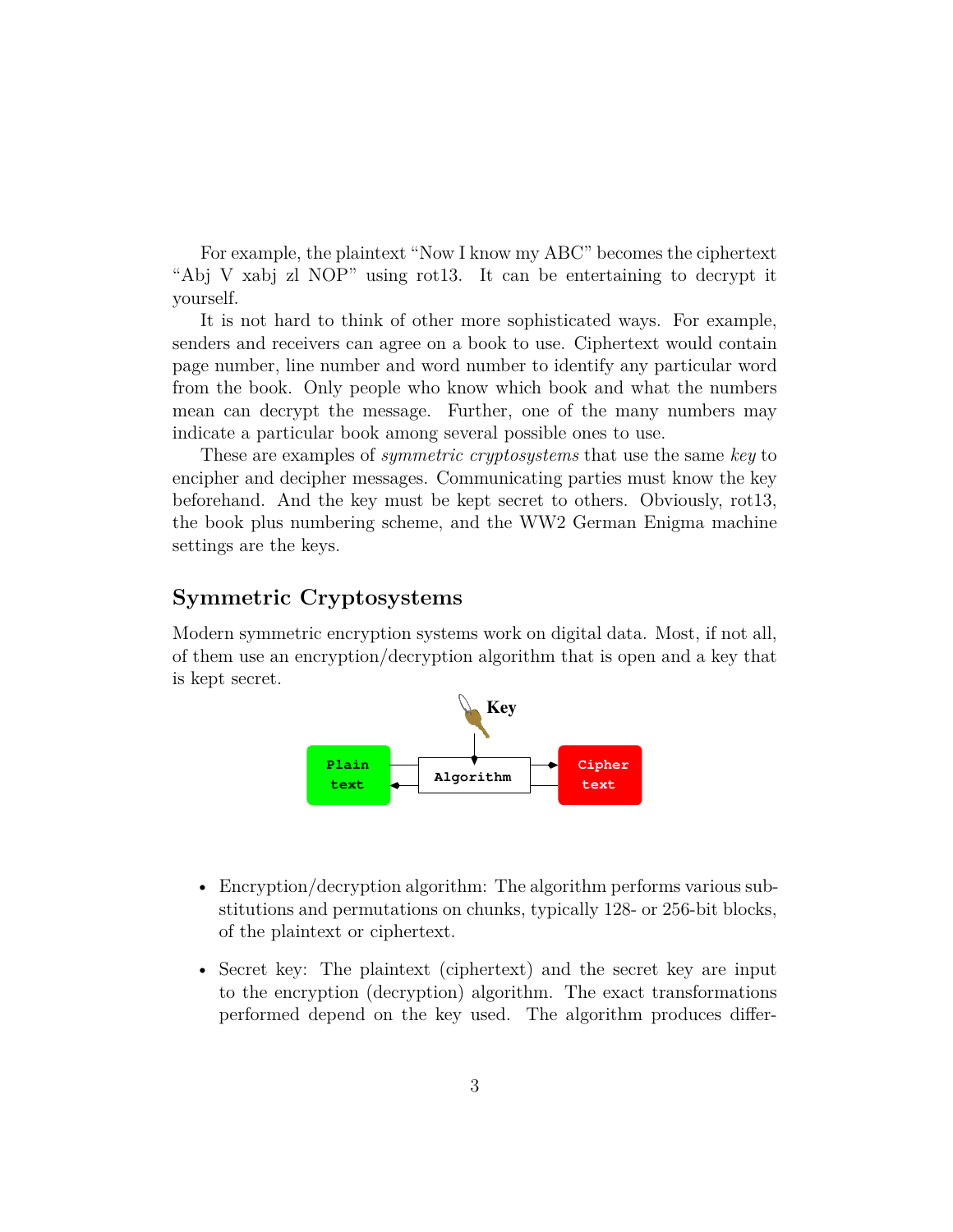For example, the plaintext "Now I know my ABC" becomes the ciphertext "Abj V xabj zl NOP" using rot13. It can be entertaining to decrypt it yourself.

It is not hard to think of other more sophisticated ways. For example, senders and receivers can agree on a book to use. Ciphertext would contain page number, line number and word number to identify any particular word from the book. Only people who know which book and what the numbers mean can decrypt the message. Further, one of the many numbers may indicate a particular book among several possible ones to use.

These are examples of *symmetric cryptosystems* that use the same *key* to encipher and decipher messages. Communicating parties must know the key beforehand. And the key must be kept secret to others. Obviously, rot13, the book plus numbering scheme, and the WW2 German Enigma machine settings are the keys.

## **Symmetric Cryptosystems**

Modern symmetric encryption systems work on digital data. Most, if not all, of them use an encryption/decryption algorithm that is open and a key that is kept secret.



- Encryption/decryption algorithm: The algorithm performs various substitutions and permutations on chunks, typically 128- or 256-bit blocks, of the plaintext or ciphertext.
- Secret key: The plaintext (ciphertext) and the secret key are input to the encryption (decryption) algorithm. The exact transformations performed depend on the key used. The algorithm produces differ-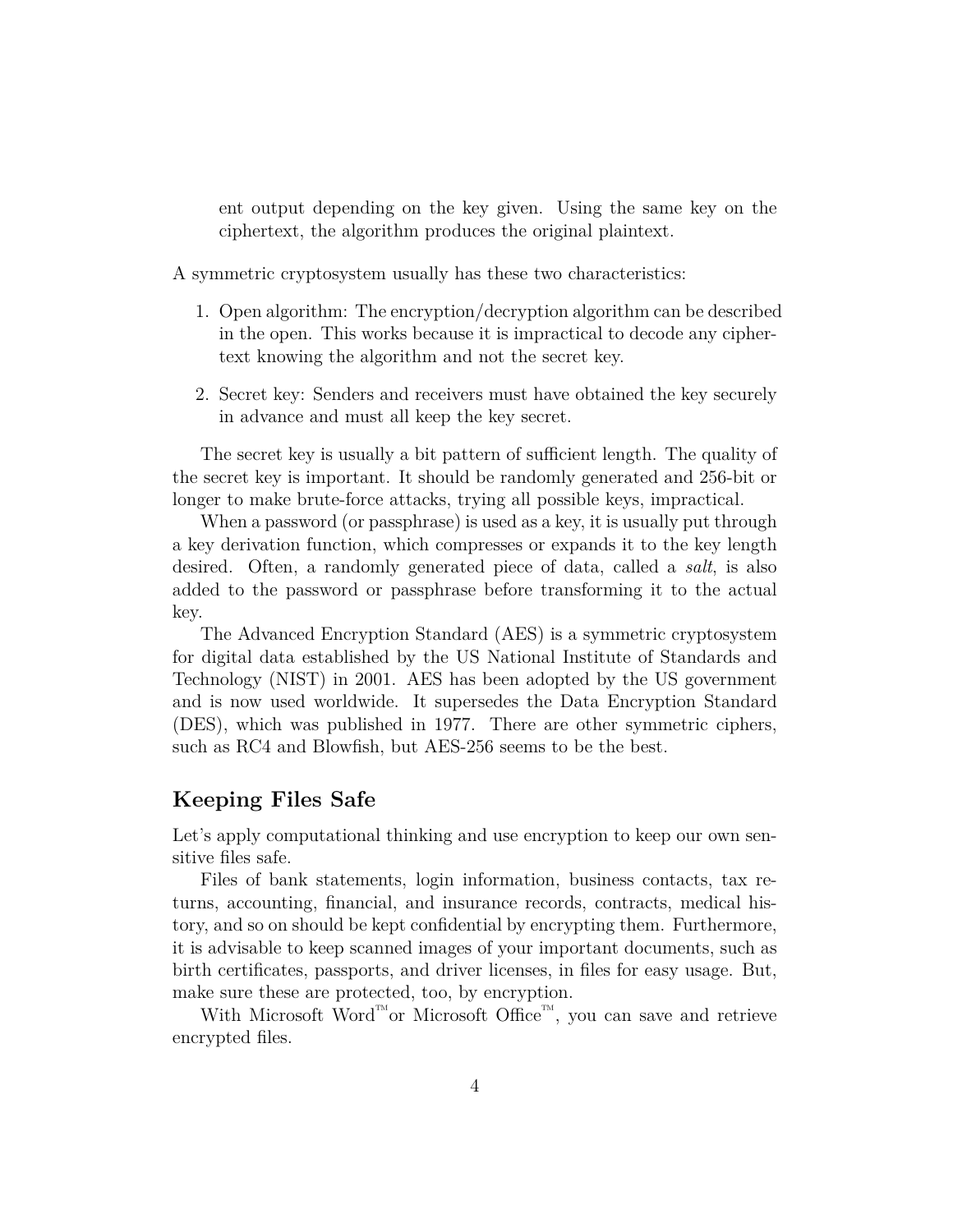ent output depending on the key given. Using the same key on the ciphertext, the algorithm produces the original plaintext.

A symmetric cryptosystem usually has these two characteristics:

- 1. Open algorithm: The encryption/decryption algorithm can be described in the open. This works because it is impractical to decode any ciphertext knowing the algorithm and not the secret key.
- 2. Secret key: Senders and receivers must have obtained the key securely in advance and must all keep the key secret.

The secret key is usually a bit pattern of sufficient length. The quality of the secret key is important. It should be randomly generated and 256-bit or longer to make brute-force attacks, trying all possible keys, impractical.

When a password (or passphrase) is used as a key, it is usually put through a key derivation function, which compresses or expands it to the key length desired. Often, a randomly generated piece of data, called a *salt*, is also added to the password or passphrase before transforming it to the actual key.

The Advanced Encryption Standard (AES) is a symmetric cryptosystem for digital data established by the US National Institute of Standards and Technology (NIST) in 2001. AES has been adopted by the US government and is now used worldwide. It supersedes the Data Encryption Standard (DES), which was published in 1977. There are other symmetric ciphers, such as RC4 and Blowfish, but AES-256 seems to be the best.

### **Keeping Files Safe**

Let's apply computational thinking and use encryption to keep our own sensitive files safe.

Files of bank statements, login information, business contacts, tax returns, accounting, financial, and insurance records, contracts, medical history, and so on should be kept confidential by encrypting them. Furthermore, it is advisable to keep scanned images of your important documents, such as birth certificates, passports, and driver licenses, in files for easy usage. But, make sure these are protected, too, by encryption.

With Microsoft Word<sup>™</sup>or Microsoft Office™, you can save and retrieve encrypted files.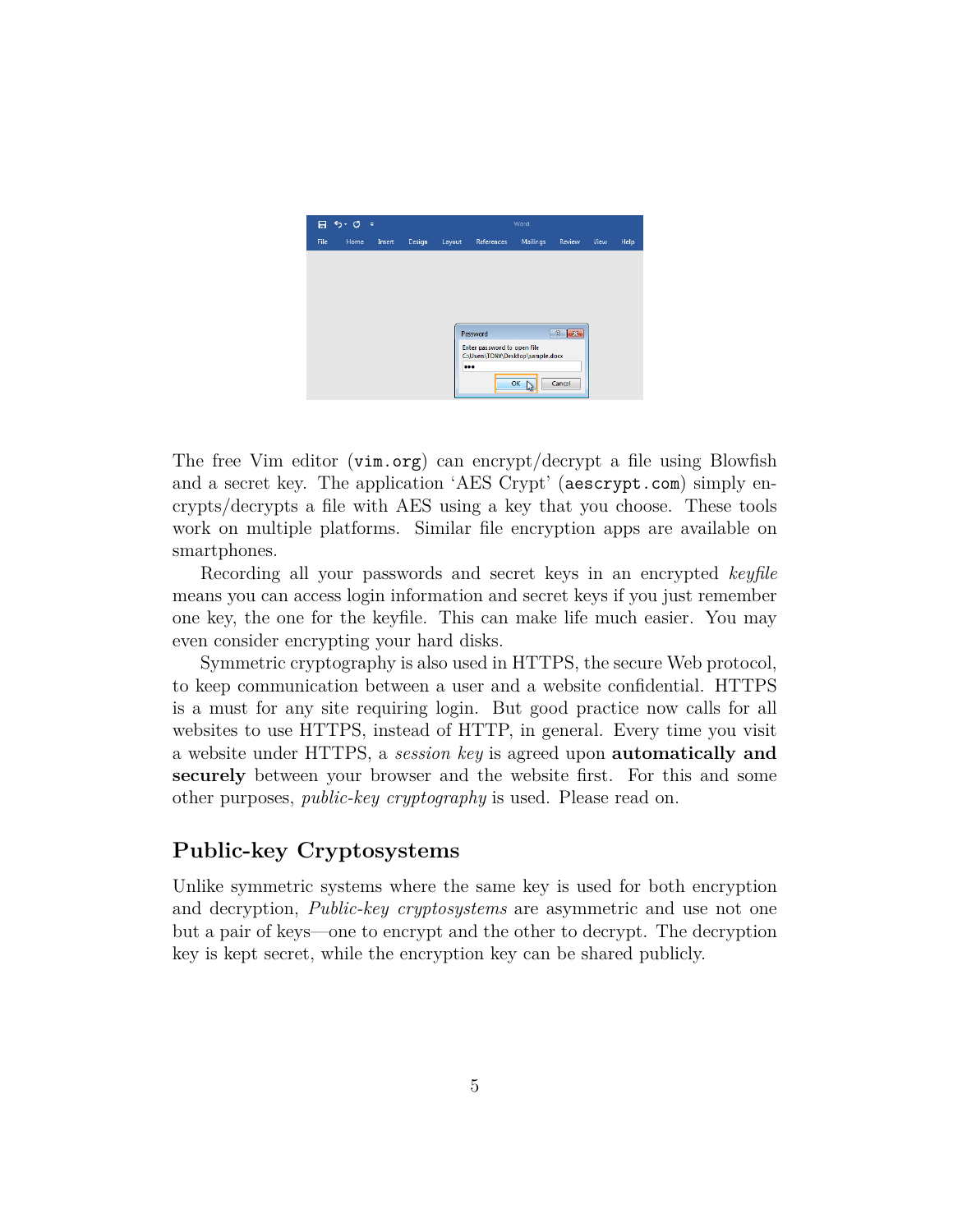

The free Vim editor (vim.org) can encrypt/decrypt a file using Blowfish and a secret key. The application 'AES Crypt' (aescrypt.com) simply encrypts/decrypts a file with AES using a key that you choose. These tools work on multiple platforms. Similar file encryption apps are available on smartphones.

Recording all your passwords and secret keys in an encrypted *keyfile* means you can access login information and secret keys if you just remember one key, the one for the keyfile. This can make life much easier. You may even consider encrypting your hard disks.

Symmetric cryptography is also used in HTTPS, the secure Web protocol, to keep communication between a user and a website confidential. HTTPS is a must for any site requiring login. But good practice now calls for all websites to use HTTPS, instead of HTTP, in general. Every time you visit a website under HTTPS, a *session key* is agreed upon **automatically and securely** between your browser and the website first. For this and some other purposes, *public-key cryptography* is used. Please read on.

## **Public-key Cryptosystems**

Unlike symmetric systems where the same key is used for both encryption and decryption, *Public-key cryptosystems* are asymmetric and use not one but a pair of keys—one to encrypt and the other to decrypt. The decryption key is kept secret, while the encryption key can be shared publicly.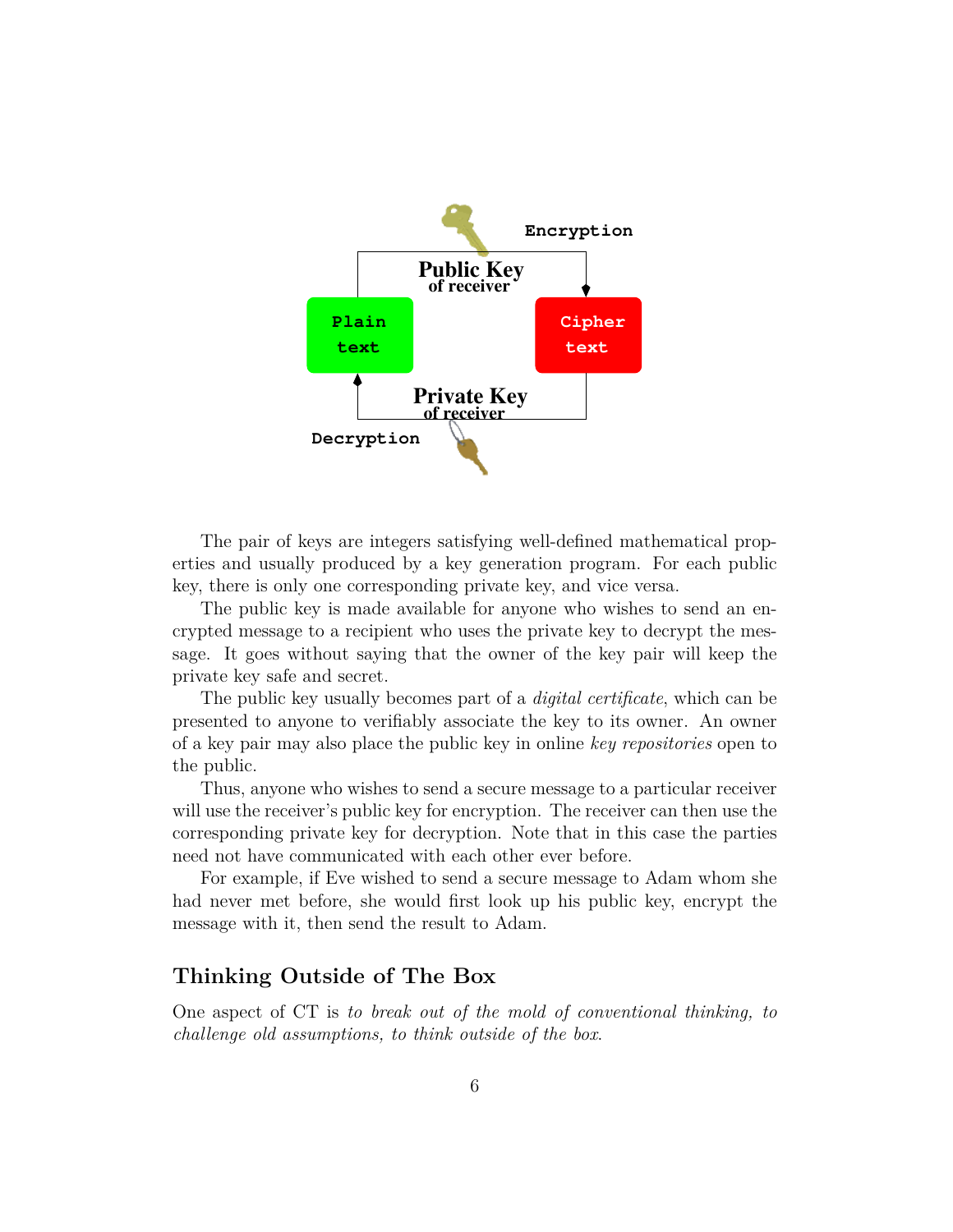

The pair of keys are integers satisfying well-defined mathematical properties and usually produced by a key generation program. For each public key, there is only one corresponding private key, and vice versa.

The public key is made available for anyone who wishes to send an encrypted message to a recipient who uses the private key to decrypt the message. It goes without saying that the owner of the key pair will keep the private key safe and secret.

The public key usually becomes part of a *digital certificate*, which can be presented to anyone to verifiably associate the key to its owner. An owner of a key pair may also place the public key in online *key repositories* open to the public.

Thus, anyone who wishes to send a secure message to a particular receiver will use the receiver's public key for encryption. The receiver can then use the corresponding private key for decryption. Note that in this case the parties need not have communicated with each other ever before.

For example, if Eve wished to send a secure message to Adam whom she had never met before, she would first look up his public key, encrypt the message with it, then send the result to Adam.

### **Thinking Outside of The Box**

One aspect of CT is *to break out of the mold of conventional thinking, to challenge old assumptions, to think outside of the box*.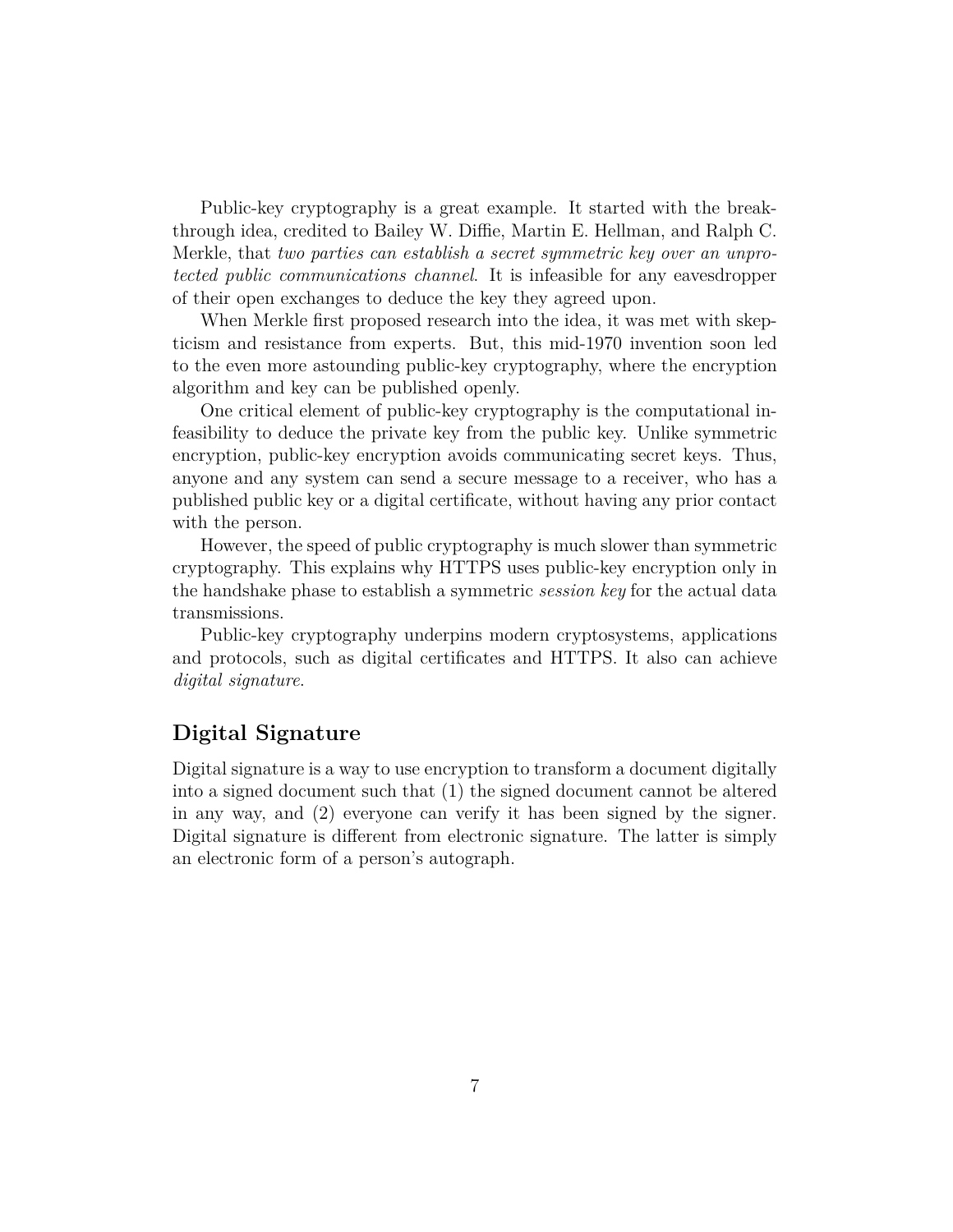Public-key cryptography is a great example. It started with the breakthrough idea, credited to Bailey W. Diffie, Martin E. Hellman, and Ralph C. Merkle, that *two parties can establish a secret symmetric key over an unprotected public communications channel*. It is infeasible for any eavesdropper of their open exchanges to deduce the key they agreed upon.

When Merkle first proposed research into the idea, it was met with skepticism and resistance from experts. But, this mid-1970 invention soon led to the even more astounding public-key cryptography, where the encryption algorithm and key can be published openly.

One critical element of public-key cryptography is the computational infeasibility to deduce the private key from the public key. Unlike symmetric encryption, public-key encryption avoids communicating secret keys. Thus, anyone and any system can send a secure message to a receiver, who has a published public key or a digital certificate, without having any prior contact with the person.

However, the speed of public cryptography is much slower than symmetric cryptography. This explains why HTTPS uses public-key encryption only in the handshake phase to establish a symmetric *session key* for the actual data transmissions.

Public-key cryptography underpins modern cryptosystems, applications and protocols, such as digital certificates and HTTPS. It also can achieve *digital signature*.

### **Digital Signature**

Digital signature is a way to use encryption to transform a document digitally into a signed document such that (1) the signed document cannot be altered in any way, and (2) everyone can verify it has been signed by the signer. Digital signature is different from electronic signature. The latter is simply an electronic form of a person's autograph.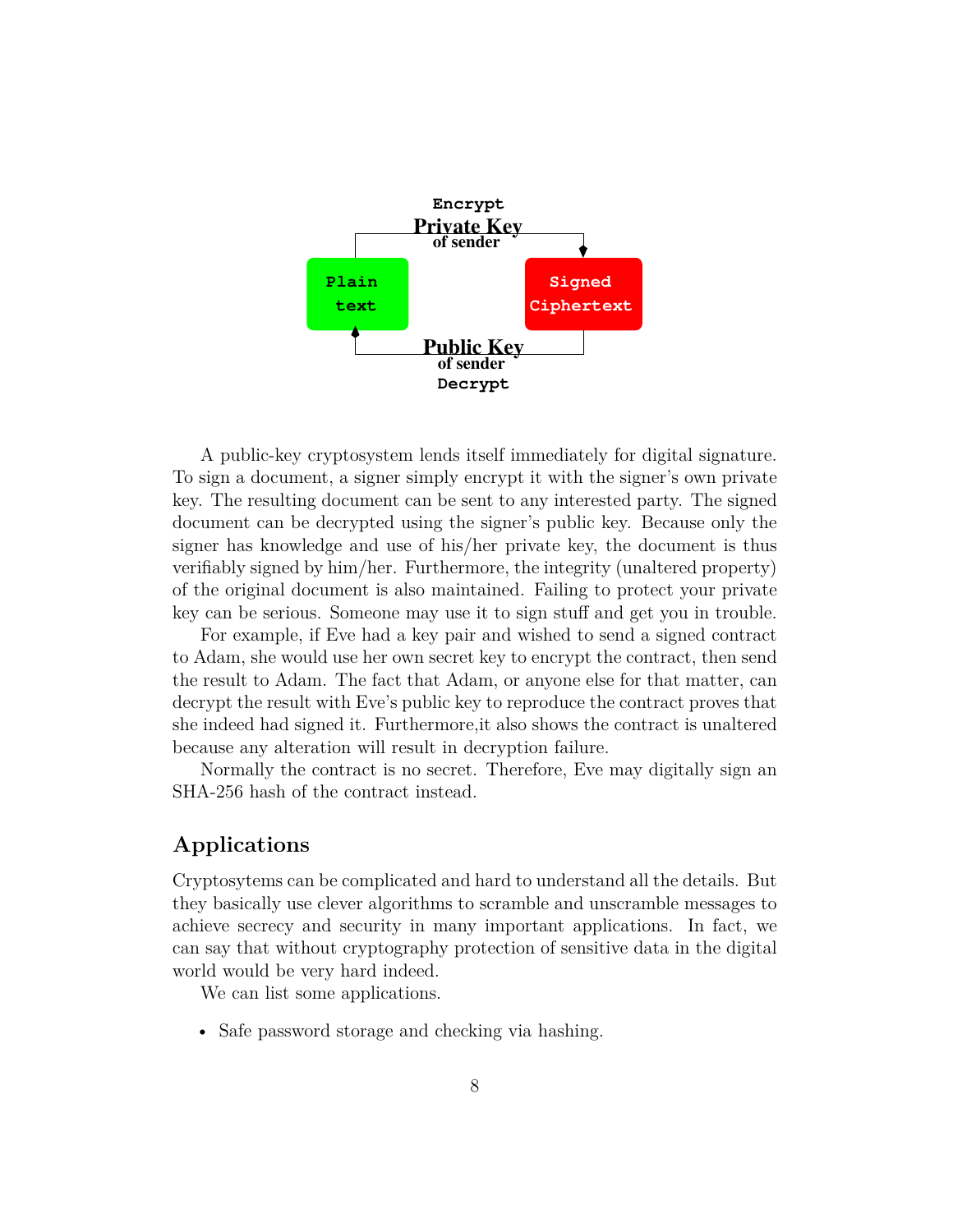

A public-key cryptosystem lends itself immediately for digital signature. To sign a document, a signer simply encrypt it with the signer's own private key. The resulting document can be sent to any interested party. The signed document can be decrypted using the signer's public key. Because only the signer has knowledge and use of his/her private key, the document is thus verifiably signed by him/her. Furthermore, the integrity (unaltered property) of the original document is also maintained. Failing to protect your private key can be serious. Someone may use it to sign stuff and get you in trouble.

For example, if Eve had a key pair and wished to send a signed contract to Adam, she would use her own secret key to encrypt the contract, then send the result to Adam. The fact that Adam, or anyone else for that matter, can decrypt the result with Eve's public key to reproduce the contract proves that she indeed had signed it. Furthermore,it also shows the contract is unaltered because any alteration will result in decryption failure.

Normally the contract is no secret. Therefore, Eve may digitally sign an SHA-256 hash of the contract instead.

## **Applications**

Cryptosytems can be complicated and hard to understand all the details. But they basically use clever algorithms to scramble and unscramble messages to achieve secrecy and security in many important applications. In fact, we can say that without cryptography protection of sensitive data in the digital world would be very hard indeed.

We can list some applications.

• Safe password storage and checking via hashing.